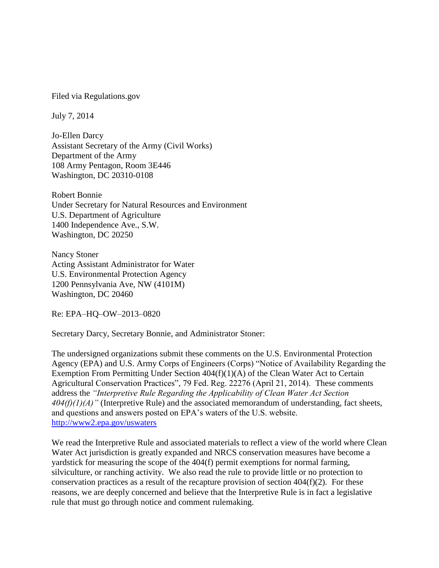Filed via Regulations.gov

July 7, 2014

Jo-Ellen Darcy Assistant Secretary of the Army (Civil Works) Department of the Army 108 Army Pentagon, Room 3E446 Washington, DC 20310-0108

Robert Bonnie Under Secretary for Natural Resources and Environment U.S. Department of Agriculture 1400 Independence Ave., S.W. Washington, DC 20250

Nancy Stoner Acting Assistant Administrator for Water U.S. Environmental Protection Agency 1200 Pennsylvania Ave, NW (4101M) Washington, DC 20460

Re: EPA–HQ–OW–2013–0820

Secretary Darcy, Secretary Bonnie, and Administrator Stoner:

The undersigned organizations submit these comments on the U.S. Environmental Protection Agency (EPA) and U.S. Army Corps of Engineers (Corps) "Notice of Availability Regarding the Exemption From Permitting Under Section 404(f)(1)(A) of the Clean Water Act to Certain Agricultural Conservation Practices", 79 Fed. Reg. 22276 (April 21, 2014). These comments address the *"Interpretive Rule Regarding the Applicability of Clean Water Act Section 404(f)(1)(A)"* (Interpretive Rule) and the associated memorandum of understanding, fact sheets, and questions and answers posted on EPA's waters of the U.S. website. <http://www2.epa.gov/uswaters>

We read the Interpretive Rule and associated materials to reflect a view of the world where Clean Water Act jurisdiction is greatly expanded and NRCS conservation measures have become a yardstick for measuring the scope of the 404(f) permit exemptions for normal farming, silviculture, or ranching activity. We also read the rule to provide little or no protection to conservation practices as a result of the recapture provision of section 404(f)(2). For these reasons, we are deeply concerned and believe that the Interpretive Rule is in fact a legislative rule that must go through notice and comment rulemaking.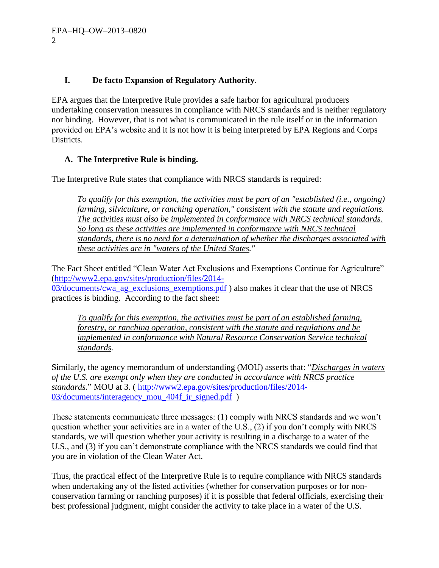### **I. De facto Expansion of Regulatory Authority**.

EPA argues that the Interpretive Rule provides a safe harbor for agricultural producers undertaking conservation measures in compliance with NRCS standards and is neither regulatory nor binding. However, that is not what is communicated in the rule itself or in the information provided on EPA's website and it is not how it is being interpreted by EPA Regions and Corps Districts.

# **A. The Interpretive Rule is binding.**

The Interpretive Rule states that compliance with NRCS standards is required:

*To qualify for this exemption, the activities must be part of an "established (i.e., ongoing) farming, silviculture, or ranching operation," consistent with the statute and regulations. The activities must also be implemented in conformance with NRCS technical standards. So long as these activities are implemented in conformance with NRCS technical standards, there is no need for a determination of whether the discharges associated with these activities are in "waters of the United States."* 

The Fact Sheet entitled "Clean Water Act Exclusions and Exemptions Continue for Agriculture" [\(http://www2.epa.gov/sites/production/files/2014-](http://www2.epa.gov/sites/production/files/2014-03/documents/cwa_ag_exclusions_exemptions.pdf) 03/documents/cwa ag\_exclusions\_exemptions.pdf ) also makes it clear that the use of NRCS

practices is binding. According to the fact sheet:

*To qualify for this exemption, the activities must be part of an established farming, forestry, or ranching operation, consistent with the statute and regulations and be implemented in conformance with Natural Resource Conservation Service technical standards.* 

Similarly, the agency memorandum of understanding (MOU) asserts that: "*Discharges in waters of the U.S. are exempt only when they are conducted in accordance with NRCS practice standards.*" MOU at 3. ( [http://www2.epa.gov/sites/production/files/2014-](http://www2.epa.gov/sites/production/files/2014-03/documents/interagency_mou_404f_ir_signed.pdf) 03/documents/interagency mou 404f ir signed.pdf )

These statements communicate three messages: (1) comply with NRCS standards and we won't question whether your activities are in a water of the U.S., (2) if you don't comply with NRCS standards, we will question whether your activity is resulting in a discharge to a water of the U.S., and (3) if you can't demonstrate compliance with the NRCS standards we could find that you are in violation of the Clean Water Act.

Thus, the practical effect of the Interpretive Rule is to require compliance with NRCS standards when undertaking any of the listed activities (whether for conservation purposes or for nonconservation farming or ranching purposes) if it is possible that federal officials, exercising their best professional judgment, might consider the activity to take place in a water of the U.S.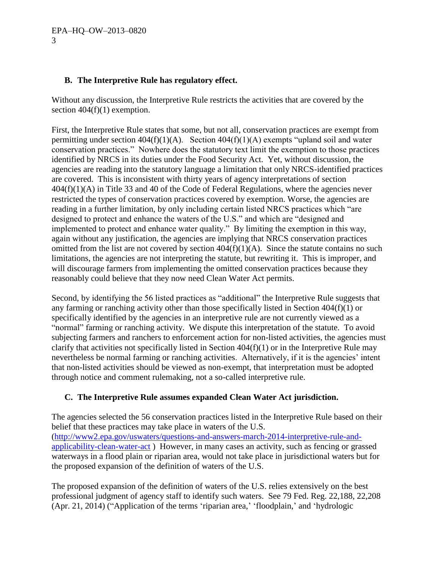#### **B. The Interpretive Rule has regulatory effect.**

Without any discussion, the Interpretive Rule restricts the activities that are covered by the section  $404(f)(1)$  exemption.

First, the Interpretive Rule states that some, but not all, conservation practices are exempt from permitting under section  $404(f)(1)(A)$ . Section  $404(f)(1)(A)$  exempts "upland soil and water conservation practices." Nowhere does the statutory text limit the exemption to those practices identified by NRCS in its duties under the Food Security Act. Yet, without discussion, the agencies are reading into the statutory language a limitation that only NRCS-identified practices are covered. This is inconsistent with thirty years of agency interpretations of section  $404(f)(1)(A)$  in Title 33 and 40 of the Code of Federal Regulations, where the agencies never restricted the types of conservation practices covered by exemption. Worse, the agencies are reading in a further limitation, by only including certain listed NRCS practices which "are designed to protect and enhance the waters of the U.S." and which are "designed and implemented to protect and enhance water quality." By limiting the exemption in this way, again without any justification, the agencies are implying that NRCS conservation practices omitted from the list are not covered by section  $404(f)(1)(A)$ . Since the statute contains no such limitations, the agencies are not interpreting the statute, but rewriting it. This is improper, and will discourage farmers from implementing the omitted conservation practices because they reasonably could believe that they now need Clean Water Act permits.

Second, by identifying the 56 listed practices as "additional" the Interpretive Rule suggests that any farming or ranching activity other than those specifically listed in Section 404(f)(1) or specifically identified by the agencies in an interpretive rule are not currently viewed as a "normal" farming or ranching activity. We dispute this interpretation of the statute. To avoid subjecting farmers and ranchers to enforcement action for non-listed activities, the agencies must clarify that activities not specifically listed in Section 404(f)(1) or in the Interpretive Rule may nevertheless be normal farming or ranching activities. Alternatively, if it is the agencies' intent that non-listed activities should be viewed as non-exempt, that interpretation must be adopted through notice and comment rulemaking, not a so-called interpretive rule.

### **C. The Interpretive Rule assumes expanded Clean Water Act jurisdiction.**

The agencies selected the 56 conservation practices listed in the Interpretive Rule based on their belief that these practices may take place in waters of the U.S. [\(http://www2.epa.gov/uswaters/questions-and-answers-march-2014-interpretive-rule-and](http://www2.epa.gov/uswaters/questions-and-answers-march-2014-interpretive-rule-and-applicability-clean-water-act)[applicability-clean-water-act](http://www2.epa.gov/uswaters/questions-and-answers-march-2014-interpretive-rule-and-applicability-clean-water-act) ) However, in many cases an activity, such as fencing or grassed waterways in a flood plain or riparian area, would not take place in jurisdictional waters but for the proposed expansion of the definition of waters of the U.S.

The proposed expansion of the definition of waters of the U.S. relies extensively on the best professional judgment of agency staff to identify such waters. See 79 Fed. Reg. 22,188, 22,208 (Apr. 21, 2014) ("Application of the terms 'riparian area,' 'floodplain,' and 'hydrologic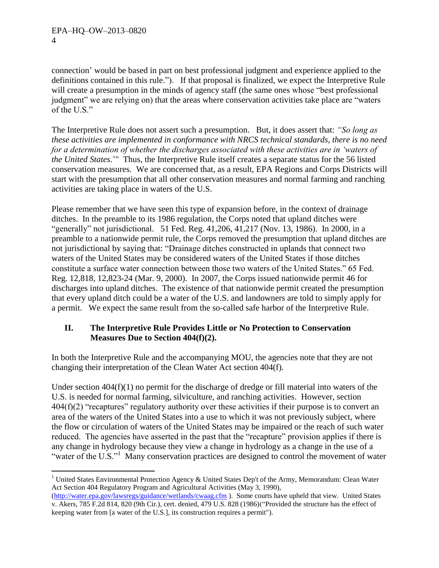connection' would be based in part on best professional judgment and experience applied to the definitions contained in this rule."). If that proposal is finalized, we expect the Interpretive Rule will create a presumption in the minds of agency staff (the same ones whose "best professional judgment" we are relying on) that the areas where conservation activities take place are "waters of the U.S."

The Interpretive Rule does not assert such a presumption. But, it does assert that: *"So long as these activities are implemented in conformance with NRCS technical standards, there is no need for a determination of whether the discharges associated with these activities are in 'waters of the United States.*'" Thus, the Interpretive Rule itself creates a separate status for the 56 listed conservation measures. We are concerned that, as a result, EPA Regions and Corps Districts will start with the presumption that all other conservation measures and normal farming and ranching activities are taking place in waters of the U.S.

Please remember that we have seen this type of expansion before, in the context of drainage ditches. In the preamble to its 1986 regulation, the Corps noted that upland ditches were "generally" not jurisdictional. 51 Fed. Reg. 41,206, 41,217 (Nov. 13, 1986). In 2000, in a preamble to a nationwide permit rule, the Corps removed the presumption that upland ditches are not jurisdictional by saying that: "Drainage ditches constructed in uplands that connect two waters of the United States may be considered waters of the United States if those ditches constitute a surface water connection between those two waters of the United States." 65 Fed. Reg. 12,818, 12,823-24 (Mar. 9, 2000). In 2007, the Corps issued nationwide permit 46 for discharges into upland ditches. The existence of that nationwide permit created the presumption that every upland ditch could be a water of the U.S. and landowners are told to simply apply for a permit. We expect the same result from the so-called safe harbor of the Interpretive Rule.

### **II. The Interpretive Rule Provides Little or No Protection to Conservation Measures Due to Section 404(f)(2).**

In both the Interpretive Rule and the accompanying MOU, the agencies note that they are not changing their interpretation of the Clean Water Act section 404(f).

Under section 404(f)(1) no permit for the discharge of dredge or fill material into waters of the U.S. is needed for normal farming, silviculture, and ranching activities. However, section  $404(f)(2)$  "recaptures" regulatory authority over these activities if their purpose is to convert an area of the waters of the United States into a use to which it was not previously subject, where the flow or circulation of waters of the United States may be impaired or the reach of such water reduced. The agencies have asserted in the past that the "recapture" provision applies if there is any change in hydrology because they view a change in hydrology as a change in the use of a "water of the U.S."<sup>1</sup> Many conservation practices are designed to control the movement of water

 $\overline{a}$ <sup>1</sup> United States Environmental Protection Agency & United States Dep't of the Army, Memorandum: Clean Water Act Section 404 Regulatory Program and Agricultural Activities (May 3, 1990),

[<sup>\(</sup>http://water.epa.gov/lawsregs/guidance/wetlands/cwaag.cfm](http://water.epa.gov/lawsregs/guidance/wetlands/cwaag.cfm) ). Some courts have upheld that view. United States v. Akers, 785 F.2d 814, 820 (9th Cir.), cert. denied, 479 U.S. 828 (1986)("Provided the structure has the effect of keeping water from [a water of the U.S.], its construction requires a permit").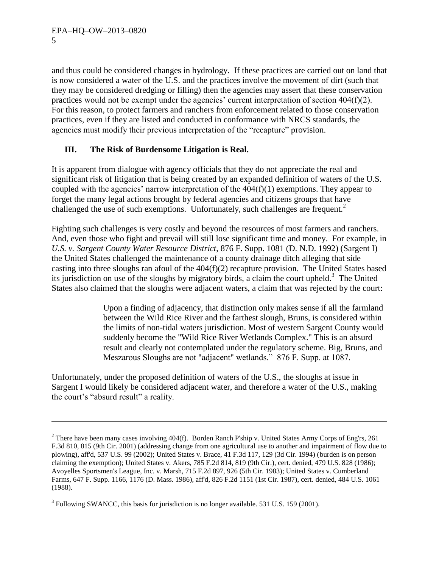$\overline{a}$ 

and thus could be considered changes in hydrology. If these practices are carried out on land that is now considered a water of the U.S. and the practices involve the movement of dirt (such that they may be considered dredging or filling) then the agencies may assert that these conservation practices would not be exempt under the agencies' current interpretation of section 404(f)(2). For this reason, to protect farmers and ranchers from enforcement related to those conservation practices, even if they are listed and conducted in conformance with NRCS standards, the agencies must modify their previous interpretation of the "recapture" provision.

# **III. The Risk of Burdensome Litigation is Real.**

It is apparent from dialogue with agency officials that they do not appreciate the real and significant risk of litigation that is being created by an expanded definition of waters of the U.S. coupled with the agencies' narrow interpretation of the  $404(f)(1)$  exemptions. They appear to forget the many legal actions brought by federal agencies and citizens groups that have challenged the use of such exemptions. Unfortunately, such challenges are frequent.<sup>2</sup>

Fighting such challenges is very costly and beyond the resources of most farmers and ranchers. And, even those who fight and prevail will still lose significant time and money. For example, in *U.S. v. Sargent County Water Resource District*, 876 F. Supp. 1081 (D. N.D. 1992) (Sargent I) the United States challenged the maintenance of a county drainage ditch alleging that side casting into three sloughs ran afoul of the 404(f)(2) recapture provision. The United States based its jurisdiction on use of the sloughs by migratory birds, a claim the court upheld.<sup>3</sup> The United States also claimed that the sloughs were adjacent waters, a claim that was rejected by the court:

> Upon a finding of adjacency, that distinction only makes sense if all the farmland between the Wild Rice River and the farthest slough, Bruns, is considered within the limits of non-tidal waters jurisdiction. Most of western Sargent County would suddenly become the "Wild Rice River Wetlands Complex." This is an absurd result and clearly not contemplated under the regulatory scheme. Big, Bruns, and Meszarous Sloughs are not "adjacent" wetlands." 876 F. Supp. at 1087.

Unfortunately, under the proposed definition of waters of the U.S., the sloughs at issue in Sargent I would likely be considered adjacent water, and therefore a water of the U.S., making the court's "absurd result" a reality.

<sup>&</sup>lt;sup>2</sup> There have been many cases involving 404(f). Borden Ranch P'ship v. United States Army Corps of Eng'rs, 261 F.3d 810, 815 (9th Cir. 2001) (addressing change from one agricultural use to another and impairment of flow due to plowing), aff'd, 537 U.S. 99 (2002); United States v. Brace, 41 F.3d 117, 129 (3d Cir. 1994) (burden is on person claiming the exemption); United States v. Akers, 785 F.2d 814, 819 (9th Cir.), cert. denied, 479 U.S. 828 (1986); Avoyelles Sportsmen's League, Inc. v. Marsh, 715 F.2d 897, 926 (5th Cir. 1983); United States v. Cumberland Farms, 647 F. Supp. 1166, 1176 (D. Mass. 1986), aff'd, 826 F.2d 1151 (1st Cir. 1987), cert. denied, 484 U.S. 1061 (1988).

 $3$  Following SWANCC, this basis for jurisdiction is no longer available. 531 U.S. 159 (2001).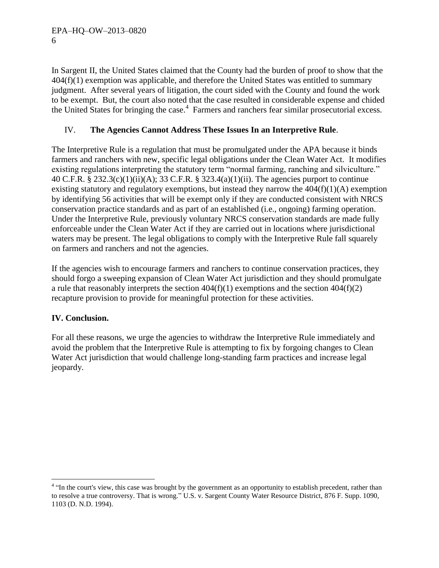In Sargent II, the United States claimed that the County had the burden of proof to show that the  $404(f)(1)$  exemption was applicable, and therefore the United States was entitled to summary judgment. After several years of litigation, the court sided with the County and found the work to be exempt. But, the court also noted that the case resulted in considerable expense and chided the United States for bringing the case.<sup>4</sup> Farmers and ranchers fear similar prosecutorial excess.

# IV. **The Agencies Cannot Address These Issues In an Interpretive Rule**.

The Interpretive Rule is a regulation that must be promulgated under the APA because it binds farmers and ranchers with new, specific legal obligations under the Clean Water Act. It modifies existing regulations interpreting the statutory term "normal farming, ranching and silviculture." 40 C.F.R. § 232.3(c)(1)(ii)(A); 33 C.F.R. § 323.4(a)(1)(ii). The agencies purport to continue existing statutory and regulatory exemptions, but instead they narrow the  $404(f)(1)(A)$  exemption by identifying 56 activities that will be exempt only if they are conducted consistent with NRCS conservation practice standards and as part of an established (i.e., ongoing) farming operation. Under the Interpretive Rule, previously voluntary NRCS conservation standards are made fully enforceable under the Clean Water Act if they are carried out in locations where jurisdictional waters may be present. The legal obligations to comply with the Interpretive Rule fall squarely on farmers and ranchers and not the agencies.

If the agencies wish to encourage farmers and ranchers to continue conservation practices, they should forgo a sweeping expansion of Clean Water Act jurisdiction and they should promulgate a rule that reasonably interprets the section  $404(f)(1)$  exemptions and the section  $404(f)(2)$ recapture provision to provide for meaningful protection for these activities.

### **IV. Conclusion.**

 $\overline{a}$ 

For all these reasons, we urge the agencies to withdraw the Interpretive Rule immediately and avoid the problem that the Interpretive Rule is attempting to fix by forgoing changes to Clean Water Act jurisdiction that would challenge long-standing farm practices and increase legal jeopardy.

<sup>&</sup>lt;sup>4</sup> "In the court's view, this case was brought by the government as an opportunity to establish precedent, rather than to resolve a true controversy. That is wrong." U.S. v. Sargent County Water Resource District, 876 F. Supp. 1090, 1103 (D. N.D. 1994).